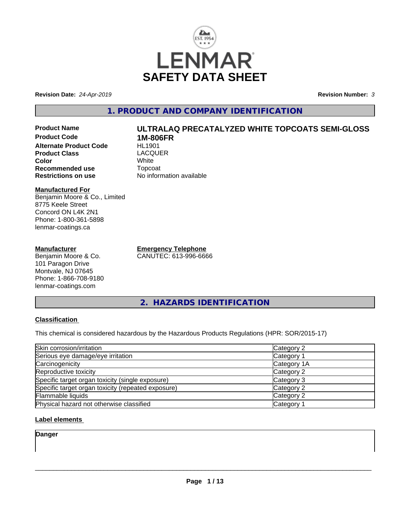

**Revision Date:** *24-Apr-2019* **Revision Number:** *3*

# **1. PRODUCT AND COMPANY IDENTIFICATION**

**Product Name ULTRALAQ PRECATALYZED WHITE TOPCOATS SEMI-GLOSS Product Code 1M-806FR Alternate Product Code Product Class** LACQUER<br> **Color** White **Color** White White **Recommended use Topcoat Restrictions on use Theory Network** 

#### **Manufactured For** Benjamin Moore & Co., Limited 8775 Keele Street Concord ON L4K 2N1 Phone: 1-800-361-5898 lenmar-coatings.ca

#### **Manufacturer**

Benjamin Moore & Co. 101 Paragon Drive Montvale, NJ 07645 Phone: 1-866-708-9180 lenmar-coatings.com

**No information available** 

**Emergency Telephone** CANUTEC: 613-996-6666

**2. HAZARDS IDENTIFICATION**

#### **Classification**

This chemical is considered hazardous by the Hazardous Products Regulations (HPR: SOR/2015-17)

| Skin corrosion/irritation                          | Category 2  |
|----------------------------------------------------|-------------|
| Serious eye damage/eye irritation                  | Category 1  |
| Carcinogenicity                                    | Category 1A |
| Reproductive toxicity                              | Category 2  |
| Specific target organ toxicity (single exposure)   | Category 3  |
| Specific target organ toxicity (repeated exposure) | Category 2  |
| Flammable liquids                                  | Category 2  |
| Physical hazard not otherwise classified           | Category 1  |

#### **Label elements**

**Danger**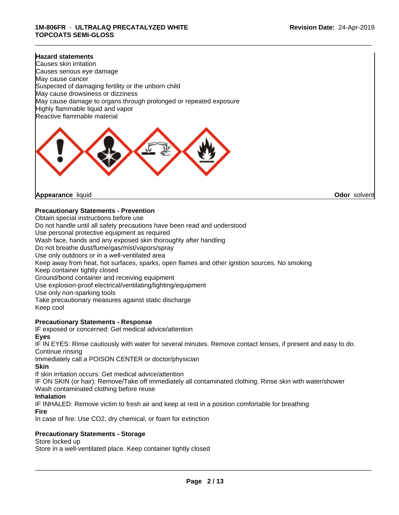#### **Hazard statements**

Causes skin irritation Causes serious eye damage May cause cancer Suspected of damaging fertility or the unborn child May cause drowsiness or dizziness May cause damage to organs through prolonged or repeated exposure Highly flammable liquid and vapor Reactive flammable material



**Appearance** liquid **Odor** solvent

#### **Precautionary Statements - Prevention**

Obtain special instructions before use Do not handle until all safety precautions have been read and understood Use personal protective equipment as required Wash face, hands and any exposed skin thoroughly after handling Do not breathe dust/fume/gas/mist/vapors/spray Use only outdoors or in a well-ventilated area Keep away from heat, hot surfaces, sparks, open flames and other ignition sources. No smoking Keep container tightly closed Ground/bond container and receiving equipment Use explosion-proof electrical/ventilating/lighting/equipment Use only non-sparking tools Take precautionary measures against static discharge Keep cool

#### **Precautionary Statements - Response**

IF exposed or concerned: Get medical advice/attention **Eyes**

IF IN EYES: Rinse cautiously with water for several minutes. Remove contact lenses, if present and easy to do. Continue rinsing

Immediately call a POISON CENTER or doctor/physician

**Skin**

If skin irritation occurs: Get medical advice/attention

IF ON SKIN (or hair): Remove/Take off immediately all contaminated clothing. Rinse skin with water/shower Wash contaminated clothing before reuse

#### **Inhalation**

IF INHALED: Remove victim to fresh air and keep at rest in a position comfortable for breathing

**Fire**

In case of fire: Use CO2, dry chemical, or foam for extinction

#### **Precautionary Statements - Storage**

Store locked up

Store in a well-ventilated place. Keep container tightly closed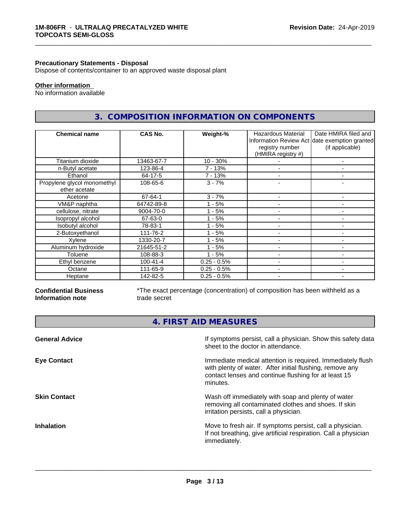#### **Precautionary Statements - Disposal**

Dispose of contents/container to an approved waste disposal plant

# **Other information**

No information available

# **3. COMPOSITION INFORMATION ON COMPONENTS**

\_\_\_\_\_\_\_\_\_\_\_\_\_\_\_\_\_\_\_\_\_\_\_\_\_\_\_\_\_\_\_\_\_\_\_\_\_\_\_\_\_\_\_\_\_\_\_\_\_\_\_\_\_\_\_\_\_\_\_\_\_\_\_\_\_\_\_\_\_\_\_\_\_\_\_\_\_\_\_\_\_\_\_\_\_\_\_\_\_\_\_\_\_

| <b>Chemical name</b>                         | CAS No.        | Weight-%      | Hazardous Material<br>registry number<br>(HMIRA registry #) | Date HMIRA filed and<br>Information Review Act date exemption granted<br>(if applicable) |
|----------------------------------------------|----------------|---------------|-------------------------------------------------------------|------------------------------------------------------------------------------------------|
| Titanium dioxide                             | 13463-67-7     | $10 - 30%$    |                                                             |                                                                                          |
| n-Butyl acetate                              | 123-86-4       | $7 - 13%$     |                                                             |                                                                                          |
| Ethanol                                      | 64-17-5        | 7 - 13%       |                                                             |                                                                                          |
| Propylene glycol monomethyl<br>ether acetate | 108-65-6       | $3 - 7%$      |                                                             | ۰                                                                                        |
| Acetone                                      | 67-64-1        | $3 - 7%$      |                                                             | $\overline{\phantom{0}}$                                                                 |
| VM&P naphtha                                 | 64742-89-8     | $-5%$         |                                                             |                                                                                          |
| cellulose, nitrate                           | 9004-70-0      | - 5%          | $\overline{\phantom{0}}$                                    | ۰                                                                                        |
| Isopropyl alcohol                            | 67-63-0        | - 5%          |                                                             | ۰                                                                                        |
| Isobutyl alcohol                             | 78-83-1        | $1 - 5%$      |                                                             |                                                                                          |
| 2-Butoxyethanol                              | 111-76-2       | $1 - 5%$      |                                                             | $\blacksquare$                                                                           |
| Xylene                                       | 1330-20-7      | $1 - 5%$      | $\overline{\phantom{a}}$                                    | ٠                                                                                        |
| Aluminum hydroxide                           | 21645-51-2     | $1 - 5%$      |                                                             |                                                                                          |
| Toluene                                      | 108-88-3       | $1 - 5%$      |                                                             | ۰                                                                                        |
| Ethyl benzene                                | $100 - 41 - 4$ | $0.25 - 0.5%$ |                                                             |                                                                                          |
| Octane                                       | 111-65-9       | $0.25 - 0.5%$ |                                                             | ۰                                                                                        |
| Heptane                                      | 142-82-5       | $0.25 - 0.5%$ | $\overline{\phantom{a}}$                                    | ٠                                                                                        |

#### **Confidential Business Information note**

\*The exact percentage (concentration) of composition has been withheld as a trade secret

**4. FIRST AID MEASURES**

| <b>General Advice</b> | If symptoms persist, call a physician. Show this safety data<br>sheet to the doctor in attendance.                                                                                         |
|-----------------------|--------------------------------------------------------------------------------------------------------------------------------------------------------------------------------------------|
| <b>Eye Contact</b>    | Immediate medical attention is required. Immediately flush<br>with plenty of water. After initial flushing, remove any<br>contact lenses and continue flushing for at least 15<br>minutes. |
| <b>Skin Contact</b>   | Wash off immediately with soap and plenty of water<br>removing all contaminated clothes and shoes. If skin<br>irritation persists, call a physician.                                       |
| <b>Inhalation</b>     | Move to fresh air. If symptoms persist, call a physician.<br>If not breathing, give artificial respiration. Call a physician<br>immediately.                                               |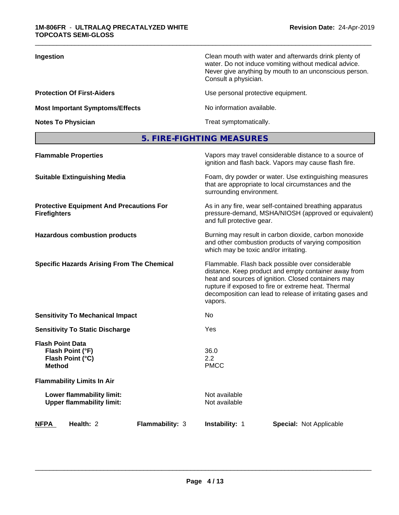| Ingestion                              | Clean mouth with water and afterwards drink plenty of<br>water. Do not induce vomiting without medical advice.<br>Never give anything by mouth to an unconscious person.<br>Consult a physician. |
|----------------------------------------|--------------------------------------------------------------------------------------------------------------------------------------------------------------------------------------------------|
| <b>Protection Of First-Aiders</b>      | Use personal protective equipment.                                                                                                                                                               |
| <b>Most Important Symptoms/Effects</b> | No information available.                                                                                                                                                                        |
| <b>Notes To Physician</b>              | Treat symptomatically.                                                                                                                                                                           |

# **5. FIRE-FIGHTING MEASURES**

| <b>Flammable Properties</b>                                                      | Vapors may travel considerable distance to a source of<br>ignition and flash back. Vapors may cause flash fire.                                                                                                                                                                                |
|----------------------------------------------------------------------------------|------------------------------------------------------------------------------------------------------------------------------------------------------------------------------------------------------------------------------------------------------------------------------------------------|
| <b>Suitable Extinguishing Media</b>                                              | Foam, dry powder or water. Use extinguishing measures<br>that are appropriate to local circumstances and the<br>surrounding environment.                                                                                                                                                       |
| <b>Protective Equipment And Precautions For</b><br><b>Firefighters</b>           | As in any fire, wear self-contained breathing apparatus<br>pressure-demand, MSHA/NIOSH (approved or equivalent)<br>and full protective gear.                                                                                                                                                   |
| <b>Hazardous combustion products</b>                                             | Burning may result in carbon dioxide, carbon monoxide<br>and other combustion products of varying composition<br>which may be toxic and/or irritating.                                                                                                                                         |
| <b>Specific Hazards Arising From The Chemical</b>                                | Flammable. Flash back possible over considerable<br>distance. Keep product and empty container away from<br>heat and sources of ignition. Closed containers may<br>rupture if exposed to fire or extreme heat. Thermal<br>decomposition can lead to release of irritating gases and<br>vapors. |
| <b>Sensitivity To Mechanical Impact</b>                                          | No.                                                                                                                                                                                                                                                                                            |
| <b>Sensitivity To Static Discharge</b>                                           | Yes                                                                                                                                                                                                                                                                                            |
| <b>Flash Point Data</b><br>Flash Point (°F)<br>Flash Point (°C)<br><b>Method</b> | 36.0<br>2.2<br><b>PMCC</b>                                                                                                                                                                                                                                                                     |
| <b>Flammability Limits In Air</b>                                                |                                                                                                                                                                                                                                                                                                |
| Lower flammability limit:<br><b>Upper flammability limit:</b>                    | Not available<br>Not available                                                                                                                                                                                                                                                                 |
| Health: 2<br>Flammability: 3<br><b>NFPA</b>                                      | Instability: 1<br><b>Special: Not Applicable</b>                                                                                                                                                                                                                                               |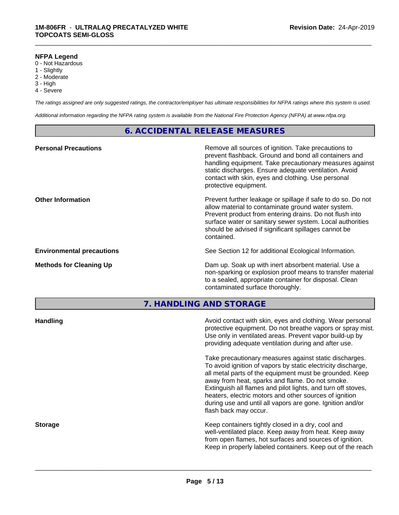#### **NFPA Legend**

- 0 Not Hazardous
- 1 Slightly
- 2 Moderate
- 3 High
- 4 Severe

*The ratings assigned are only suggested ratings, the contractor/employer has ultimate responsibilities for NFPA ratings where this system is used.*

\_\_\_\_\_\_\_\_\_\_\_\_\_\_\_\_\_\_\_\_\_\_\_\_\_\_\_\_\_\_\_\_\_\_\_\_\_\_\_\_\_\_\_\_\_\_\_\_\_\_\_\_\_\_\_\_\_\_\_\_\_\_\_\_\_\_\_\_\_\_\_\_\_\_\_\_\_\_\_\_\_\_\_\_\_\_\_\_\_\_\_\_\_

*Additional information regarding the NFPA rating system is available from the National Fire Protection Agency (NFPA) at www.nfpa.org.*

# **6. ACCIDENTAL RELEASE MEASURES**

| <b>Personal Precautions</b>      | Remove all sources of ignition. Take precautions to<br>prevent flashback. Ground and bond all containers and<br>handling equipment. Take precautionary measures against<br>static discharges. Ensure adequate ventilation. Avoid<br>contact with skin, eyes and clothing. Use personal<br>protective equipment.  |
|----------------------------------|------------------------------------------------------------------------------------------------------------------------------------------------------------------------------------------------------------------------------------------------------------------------------------------------------------------|
| <b>Other Information</b>         | Prevent further leakage or spillage if safe to do so. Do not<br>allow material to contaminate ground water system.<br>Prevent product from entering drains. Do not flush into<br>surface water or sanitary sewer system. Local authorities<br>should be advised if significant spillages cannot be<br>contained. |
| <b>Environmental precautions</b> | See Section 12 for additional Ecological Information.                                                                                                                                                                                                                                                            |
| <b>Methods for Cleaning Up</b>   | Dam up. Soak up with inert absorbent material. Use a<br>non-sparking or explosion proof means to transfer material<br>to a sealed, appropriate container for disposal. Clean<br>contaminated surface thoroughly.                                                                                                 |

**7. HANDLING AND STORAGE**

| <b>Handling</b> | Avoid contact with skin, eyes and clothing. Wear personal<br>protective equipment. Do not breathe vapors or spray mist.<br>Use only in ventilated areas. Prevent vapor build-up by<br>providing adequate ventilation during and after use.                                                                                                                                                                                                           |
|-----------------|------------------------------------------------------------------------------------------------------------------------------------------------------------------------------------------------------------------------------------------------------------------------------------------------------------------------------------------------------------------------------------------------------------------------------------------------------|
|                 | Take precautionary measures against static discharges.<br>To avoid ignition of vapors by static electricity discharge,<br>all metal parts of the equipment must be grounded. Keep<br>away from heat, sparks and flame. Do not smoke.<br>Extinguish all flames and pilot lights, and turn off stoves,<br>heaters, electric motors and other sources of ignition<br>during use and until all vapors are gone. Ignition and/or<br>flash back may occur. |
| <b>Storage</b>  | Keep containers tightly closed in a dry, cool and<br>well-ventilated place. Keep away from heat. Keep away<br>from open flames, hot surfaces and sources of ignition.<br>Keep in properly labeled containers. Keep out of the reach                                                                                                                                                                                                                  |
|                 |                                                                                                                                                                                                                                                                                                                                                                                                                                                      |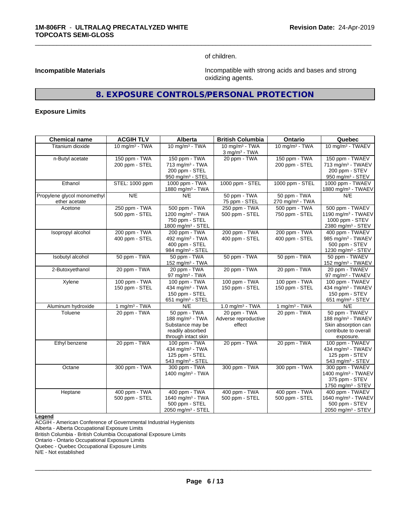of children.

\_\_\_\_\_\_\_\_\_\_\_\_\_\_\_\_\_\_\_\_\_\_\_\_\_\_\_\_\_\_\_\_\_\_\_\_\_\_\_\_\_\_\_\_\_\_\_\_\_\_\_\_\_\_\_\_\_\_\_\_\_\_\_\_\_\_\_\_\_\_\_\_\_\_\_\_\_\_\_\_\_\_\_\_\_\_\_\_\_\_\_\_\_

**Incompatible Materials Incompatible Materials Incompatible with strong acids and bases and strong** oxidizing agents.

# **8. EXPOSURE CONTROLS/PERSONAL PROTECTION**

#### **Exposure Limits**

| <b>Chemical name</b>                         | <b>ACGIH TLV</b>                | Alberta                                                                                           | <b>British Columbia</b>                        | Ontario                                     | Quebec                                                                                                       |
|----------------------------------------------|---------------------------------|---------------------------------------------------------------------------------------------------|------------------------------------------------|---------------------------------------------|--------------------------------------------------------------------------------------------------------------|
| Titanium dioxide                             | 10 mg/m $3$ - TWA               | 10 mg/m $3$ - TWA                                                                                 | 10 mg/m $3$ - TWA<br>$3$ mg/m $3$ - TWA        | 10 mg/m $3 - TWA$                           | 10 mg/m <sup>3</sup> - TWAEV                                                                                 |
| n-Butyl acetate                              | 150 ppm - TWA<br>200 ppm - STEL | 150 ppm - TWA<br>713 mg/m <sup>3</sup> - TWA<br>200 ppm - STEL<br>950 mg/m <sup>3</sup> - STEL    | 20 ppm - TWA                                   | 150 ppm - TWA<br>200 ppm - STEL             | 150 ppm - TWAEV<br>713 mg/m <sup>3</sup> - TWAEV<br>200 ppm - STEV<br>950 mg/m <sup>3</sup> - STEV           |
| Ethanol                                      | STEL: 1000 ppm                  | 1000 ppm - TWA<br>1880 mg/m <sup>3</sup> - TWA                                                    | 1000 ppm - STEL                                | 1000 ppm - STEL                             | 1000 ppm - TWAEV<br>1880 mg/m <sup>3</sup> - TWAEV                                                           |
| Propylene glycol monomethyl<br>ether acetate | N/E                             | N/E                                                                                               | 50 ppm - TWA<br>75 ppm - STEL                  | 50 ppm - TWA<br>270 mg/m <sup>3</sup> - TWA | N/E                                                                                                          |
| Acetone                                      | 250 ppm - TWA<br>500 ppm - STEL | 500 ppm - TWA<br>1200 mg/m <sup>3</sup> - TWA<br>750 ppm - STEL<br>1800 mg/m <sup>3</sup> - STEL  | 250 ppm - TWA<br>500 ppm - STEL                | 500 ppm - TWA<br>750 ppm - STEL             | 500 ppm - TWAEV<br>1190 mg/m <sup>3</sup> - TWAEV<br>1000 ppm - STEV<br>2380 mg/m <sup>3</sup> - STEV        |
| Isopropyl alcohol                            | 200 ppm - TWA<br>400 ppm - STEL | 200 ppm - TWA<br>492 mg/m <sup>3</sup> - TWA<br>400 ppm - STEL<br>984 mg/m <sup>3</sup> - STEL    | 200 ppm - TWA<br>400 ppm - STEL                | 200 ppm - TWA<br>400 ppm - STEL             | 400 ppm - TWAEV<br>985 mg/m <sup>3</sup> - TWAEV<br>500 ppm - STEV<br>1230 mg/m $3 -$ STEV                   |
| Isobutyl alcohol                             | 50 ppm - TWA                    | 50 ppm - TWA<br>152 mg/m $3$ - TWA                                                                | 50 ppm - TWA                                   | 50 ppm - TWA                                | 50 ppm - TWAEV<br>152 mg/m <sup>3</sup> - TWAEV                                                              |
| 2-Butoxyethanol                              | 20 ppm - TWA                    | 20 ppm - TWA<br>97 mg/m $3$ - TWA                                                                 | 20 ppm - TWA                                   | 20 ppm - TWA                                | 20 ppm - TWAEV<br>97 mg/m <sup>3</sup> - TWAEV                                                               |
| Xylene                                       | 100 ppm - TWA<br>150 ppm - STEL | 100 ppm - TWA<br>434 mg/m <sup>3</sup> - TWA<br>150 ppm - STEL<br>651 mg/m $3 -$ STEL             | 100 ppm - TWA<br>150 ppm - STEL                | 100 ppm - TWA<br>150 ppm - STEL             | 100 ppm - TWAEV<br>434 mg/m <sup>3</sup> - TWAEV<br>150 ppm - STEV<br>651 mg/m <sup>3</sup> - STEV           |
| Aluminum hydroxide                           | 1 mg/m $3$ - TWA                | N/E                                                                                               | 1.0 mg/m $3$ - TWA                             | 1 mg/m $3$ - TWA                            | N/E                                                                                                          |
| Toluene                                      | 20 ppm - TWA                    | 50 ppm - TWA<br>188 mg/m $3$ - TWA<br>Substance may be<br>readily absorbed<br>through intact skin | 20 ppm - TWA<br>Adverse reproductive<br>effect | 20 ppm - TWA                                | 50 ppm - TWAEV<br>188 mg/m <sup>3</sup> - TWAEV<br>Skin absorption can<br>contribute to overall<br>exposure. |
| Ethyl benzene                                | 20 ppm - TWA                    | 100 ppm - TWA<br>434 mg/m <sup>3</sup> - TWA<br>125 ppm - STEL<br>543 mg/m <sup>3</sup> - STEL    | 20 ppm - TWA                                   | 20 ppm - TWA                                | 100 ppm - TWAEV<br>434 mg/m <sup>3</sup> - TWAEV<br>125 ppm - STEV<br>543 mg/m <sup>3</sup> - STEV           |
| Octane                                       | 300 ppm - TWA                   | 300 ppm - TWA<br>1400 mg/m $3 - TWA$                                                              | 300 ppm - TWA                                  | 300 ppm - TWA                               | 300 ppm - TWAEV<br>1400 mg/m <sup>3</sup> - TWAEV<br>375 ppm - STEV<br>1750 mg/m <sup>3</sup> - STEV         |
| Heptane                                      | 400 ppm - TWA<br>500 ppm - STEL | 400 ppm - TWA<br>1640 mg/m <sup>3</sup> - TWA<br>500 ppm - STEL<br>2050 mg/m <sup>3</sup> - STEL  | 400 ppm - TWA<br>500 ppm - STEL                | 400 ppm - TWA<br>500 ppm - STEL             | 400 ppm - TWAEV<br>1640 mg/m <sup>3</sup> - TWAEV<br>500 ppm - STEV<br>2050 mg/m <sup>3</sup> - STEV         |

**Legend**

ACGIH - American Conference of Governmental Industrial Hygienists

Alberta - Alberta Occupational Exposure Limits

British Columbia - British Columbia Occupational Exposure Limits

Ontario - Ontario Occupational Exposure Limits

Quebec - Quebec Occupational Exposure Limits

N/E - Not established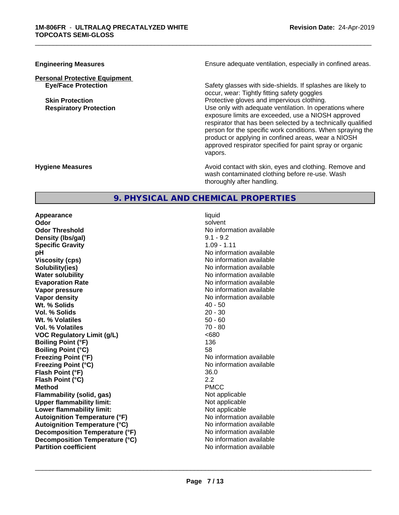# **Personal Protective Equipment**

**Engineering Measures Ensure adequate ventilation, especially in confined areas.** 

\_\_\_\_\_\_\_\_\_\_\_\_\_\_\_\_\_\_\_\_\_\_\_\_\_\_\_\_\_\_\_\_\_\_\_\_\_\_\_\_\_\_\_\_\_\_\_\_\_\_\_\_\_\_\_\_\_\_\_\_\_\_\_\_\_\_\_\_\_\_\_\_\_\_\_\_\_\_\_\_\_\_\_\_\_\_\_\_\_\_\_\_\_

**Eye/Face Protection** Safety glasses with side-shields. If splashes are likely to occur, wear: Tightly fitting safety goggles **Skin Protection Protection** Protective gloves and impervious clothing. **Respiratory Protection Number 1** (Use only with adequate ventilation. In operations where exposure limits are exceeded, use a NIOSH approved respirator that has been selected by a technically qualified person for the specific work conditions. When spraying the product or applying in confined areas, wear a NIOSH approved respirator specified for paint spray or organic vapors.

**Hygiene Measures Avoid contact with skin, eyes and clothing. Remove and Avoid contact with skin, eyes and clothing. Remove and Avoid contact with skin, eyes and clothing. Remove and** wash contaminated clothing before re-use. Wash thoroughly after handling.

# **9. PHYSICAL AND CHEMICAL PROPERTIES**

**Appearance** liquid **Odor** solvent **Odor Threshold No information available No information available Density (lbs/gal)** 9.1 - 9.2 **Specific Gravity** 1.09 - 1.11 **pH** No information available **Viscosity (cps)** No information available Notice 1, 1999 **Solubility(ies)** No information available in the solution of the solution of the solution available in the solution of the solution of the solution of the solution of the solution of the solution of the solution of the so **Water solubility**<br> **Evaporation Rate**<br> **Evaporation Rate**<br> **Evaporation Rate Vapor pressure** No information available **No information** available **Vapor density**<br> **We Solids**<br>
We Solid Wi, % Solids
2019 Wt. % Solids **Vol. % Solids** 20 - 30 **Wt. % Volatiles** 50 - 60<br> **Vol. % Volatiles** 50 - 60 **Vol. % Volatiles VOC** Requlatory Limit (q/L)  $\leq 680$ **Boiling Point (°F)** 136 **Boiling Point (°C)** 58 **Freezing Point (°F)** No information available **Freezing Point (°C)** No information available **Flash Point (°F)** 36.0 **Flash Point (°C)** 2.2 **Method** PMCC **Flammability (solid, gas)** Not applicable **Upper flammability limit:** Not applicable **Lower flammability limit:** Not applicable **Autoignition Temperature (°F)** No information available **Autoignition Temperature (°C)** No information available **Decomposition Temperature (°F)** No information available **Decomposition Temperature (°C)** No information available<br> **Partition coefficient Partition available** 

**Evaporation Rate** No information available **No information available**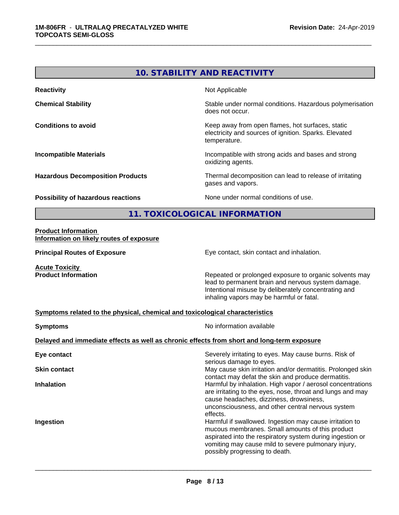# **10. STABILITY AND REACTIVITY Reactivity** Not Applicable **Chemical Stability Chemical Stability** Stable under normal conditions. Hazardous polymerisation does not occur. **Conditions to avoid Conditions to avoid Conditions keep** away from open flames, hot surfaces, static electricity and sources of ignition. Sparks. Elevated temperature. **Incompatible Materials Incompatible with strong acids and bases and strong** oxidizing agents. **Hazardous Decomposition Products** Thermal decomposition can lead to release of irritating gases and vapors. **Possibility of hazardous reactions** None under normal conditions of use. **11. TOXICOLOGICAL INFORMATION Product Information Information on likely routes of exposure**

\_\_\_\_\_\_\_\_\_\_\_\_\_\_\_\_\_\_\_\_\_\_\_\_\_\_\_\_\_\_\_\_\_\_\_\_\_\_\_\_\_\_\_\_\_\_\_\_\_\_\_\_\_\_\_\_\_\_\_\_\_\_\_\_\_\_\_\_\_\_\_\_\_\_\_\_\_\_\_\_\_\_\_\_\_\_\_\_\_\_\_\_\_

**Principal Routes of Exposure Exposure** Eye contact, skin contact and inhalation.

**Acute Toxicity** 

**Product Information Repeated or prolonged exposure to organic solvents may** Repeated or prolonged exposure to organic solvents may lead to permanent brain and nervous system damage. Intentional misuse by deliberately concentrating and inhaling vapors may be harmful or fatal.

#### **Symptoms related to the physical,chemical and toxicological characteristics**

| <b>Symptoms</b>                                                                            | No information available                                                                                                                                                                                                                                         |  |  |
|--------------------------------------------------------------------------------------------|------------------------------------------------------------------------------------------------------------------------------------------------------------------------------------------------------------------------------------------------------------------|--|--|
| Delayed and immediate effects as well as chronic effects from short and long-term exposure |                                                                                                                                                                                                                                                                  |  |  |
| Eye contact                                                                                | Severely irritating to eyes. May cause burns. Risk of<br>serious damage to eyes.                                                                                                                                                                                 |  |  |
| <b>Skin contact</b>                                                                        | May cause skin irritation and/or dermatitis. Prolonged skin<br>contact may defat the skin and produce dermatitis.                                                                                                                                                |  |  |
| <b>Inhalation</b>                                                                          | Harmful by inhalation. High vapor / aerosol concentrations<br>are irritating to the eyes, nose, throat and lungs and may<br>cause headaches, dizziness, drowsiness,<br>unconsciousness, and other central nervous system<br>effects.                             |  |  |
| Ingestion                                                                                  | Harmful if swallowed. Ingestion may cause irritation to<br>mucous membranes. Small amounts of this product<br>aspirated into the respiratory system during ingestion or<br>vomiting may cause mild to severe pulmonary injury,<br>possibly progressing to death. |  |  |
|                                                                                            |                                                                                                                                                                                                                                                                  |  |  |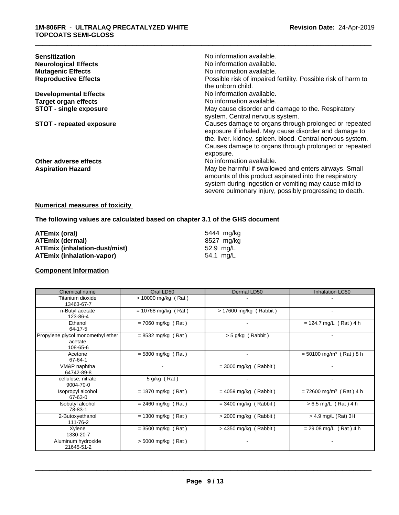| <b>Sensitization</b><br><b>Neurological Effects</b><br><b>Mutagenic Effects</b><br><b>Reproductive Effects</b> | No information available.<br>No information available.<br>No information available.<br>Possible risk of impaired fertility. Possible risk of harm to<br>the unborn child.                                                                          |
|----------------------------------------------------------------------------------------------------------------|----------------------------------------------------------------------------------------------------------------------------------------------------------------------------------------------------------------------------------------------------|
| <b>Developmental Effects</b>                                                                                   | No information available.                                                                                                                                                                                                                          |
| <b>Target organ effects</b>                                                                                    | No information available.                                                                                                                                                                                                                          |
| <b>STOT - single exposure</b>                                                                                  | May cause disorder and damage to the. Respiratory<br>system. Central nervous system.                                                                                                                                                               |
| <b>STOT - repeated exposure</b>                                                                                | Causes damage to organs through prolonged or repeated<br>exposure if inhaled. May cause disorder and damage to<br>the. liver. kidney. spleen. blood. Central nervous system.<br>Causes damage to organs through prolonged or repeated<br>exposure. |
| Other adverse effects                                                                                          | No information available.                                                                                                                                                                                                                          |
| <b>Aspiration Hazard</b>                                                                                       | May be harmful if swallowed and enters airways. Small<br>amounts of this product aspirated into the respiratory<br>system during ingestion or vomiting may cause mild to<br>severe pulmonary injury, possibly progressing to death.                |

#### **Numerical measures of toxicity**

# **The following values are calculated based on chapter 3.1 of the GHS document**

| ATEmix (oral)                        | 5444 mg/kg |
|--------------------------------------|------------|
| <b>ATEmix (dermal)</b>               | 8527 mg/kg |
| <b>ATEmix (inhalation-dust/mist)</b> | 52.9 ma/L  |
| <b>ATEmix (inhalation-vapor)</b>     | 54.1 mg/L  |

## **Component Information**

| Chemical name                                            | Oral LD50             | Dermal LD50             | Inhalation LC50                       |
|----------------------------------------------------------|-----------------------|-------------------------|---------------------------------------|
| Titanium dioxide<br>13463-67-7                           | $> 10000$ mg/kg (Rat) |                         |                                       |
| n-Butyl acetate<br>123-86-4                              | $= 10768$ mg/kg (Rat) | > 17600 mg/kg (Rabbit)  |                                       |
| Ethanol<br>64-17-5                                       | $= 7060$ mg/kg (Rat)  |                         | $= 124.7$ mg/L (Rat) 4 h              |
| Propylene glycol monomethyl ether<br>acetate<br>108-65-6 | $= 8532$ mg/kg (Rat)  | $>$ 5 g/kg (Rabbit)     |                                       |
| Acetone<br>67-64-1                                       | $= 5800$ mg/kg (Rat)  | $\blacksquare$          | $= 50100$ mg/m <sup>3</sup> (Rat) 8 h |
| VM&P naphtha<br>64742-89-8                               |                       | $=$ 3000 mg/kg (Rabbit) |                                       |
| cellulose, nitrate<br>9004-70-0                          | 5 g/kg (Rat)          |                         |                                       |
| Isopropyl alcohol<br>67-63-0                             | $= 1870$ mg/kg (Rat)  | $= 4059$ mg/kg (Rabbit) | $= 72600$ mg/m <sup>3</sup> (Rat) 4 h |
| Isobutyl alcohol<br>78-83-1                              | $= 2460$ mg/kg (Rat)  | $=$ 3400 mg/kg (Rabbit) | $> 6.5$ mg/L (Rat) 4 h                |
| 2-Butoxyethanol<br>111-76-2                              | $= 1300$ mg/kg (Rat)  | $>$ 2000 mg/kg (Rabbit) | $>$ 4.9 mg/L (Rat) 3H                 |
| Xylene<br>1330-20-7                                      | $=$ 3500 mg/kg (Rat)  | $>$ 4350 mg/kg (Rabbit) | $= 29.08$ mg/L (Rat) 4 h              |
| Aluminum hydroxide<br>21645-51-2                         | $> 5000$ mg/kg (Rat)  | $\blacksquare$          |                                       |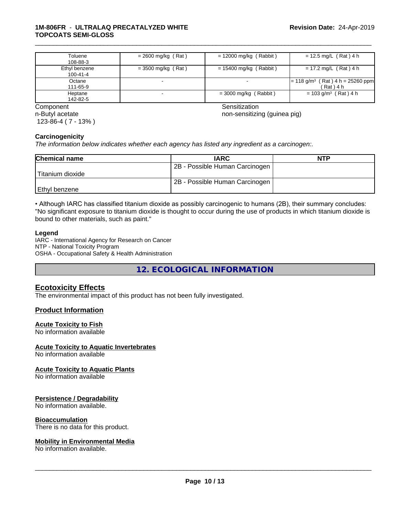#### **1M-806FR** - **ULTRALAQ PRECATALYZED WHITE TOPCOATS SEMI-GLOSS**

| Toluene       | $= 2600$ mg/kg (Rat) | $= 12000$ mg/kg (Rabbit) | $= 12.5$ mg/L (Rat) 4 h                              |
|---------------|----------------------|--------------------------|------------------------------------------------------|
| 108-88-3      |                      |                          |                                                      |
| Ethyl benzene | = 3500 mg/kg (Rat)   | = 15400 mg/kg (Rabbit)   | $= 17.2$ mg/L (Rat) 4 h                              |
| 100-41-4      |                      |                          |                                                      |
| Octane        |                      |                          | $\vert$ = 118 g/m <sup>3</sup> (Rat) 4 h = 25260 ppm |
| 111-65-9      |                      |                          | (Rat) 4 h                                            |
| Heptane       |                      | $=$ 3000 mg/kg (Rabbit)  | $= 103$ g/m <sup>3</sup> (Rat) 4 h                   |
| 142-82-5      |                      |                          |                                                      |

n-Butyl acetate 123-86-4 ( 7 - 13% )

**Component** Component Sensitization Component Sensitization Sensitization Sensitization

\_\_\_\_\_\_\_\_\_\_\_\_\_\_\_\_\_\_\_\_\_\_\_\_\_\_\_\_\_\_\_\_\_\_\_\_\_\_\_\_\_\_\_\_\_\_\_\_\_\_\_\_\_\_\_\_\_\_\_\_\_\_\_\_\_\_\_\_\_\_\_\_\_\_\_\_\_\_\_\_\_\_\_\_\_\_\_\_\_\_\_\_\_

non-sensitizing (guinea pig)

#### **Carcinogenicity**

*The information below indicateswhether each agency has listed any ingredient as a carcinogen:.*

| <b>Chemical name</b> | <b>IARC</b>                    | <b>NTP</b> |
|----------------------|--------------------------------|------------|
|                      | 2B - Possible Human Carcinogen |            |
| Titanium dioxide     |                                |            |
|                      | 2B - Possible Human Carcinogen |            |
| Ethyl benzene        |                                |            |

• Although IARC has classified titanium dioxide as possibly carcinogenic to humans (2B), their summary concludes: "No significant exposure to titanium dioxide is thought to occur during the use of products in which titanium dioxide is bound to other materials, such as paint."

#### **Legend**

IARC - International Agency for Research on Cancer NTP - National Toxicity Program OSHA - Occupational Safety & Health Administration

**12. ECOLOGICAL INFORMATION**

# **Ecotoxicity Effects**

The environmental impact of this product has not been fully investigated.

#### **Product Information**

#### **Acute Toxicity to Fish**

No information available

#### **Acute Toxicity to Aquatic Invertebrates**

No information available

#### **Acute Toxicity to Aquatic Plants**

No information available

#### **Persistence / Degradability**

No information available.

#### **Bioaccumulation**

There is no data for this product.

#### **Mobility in Environmental Media**

No information available.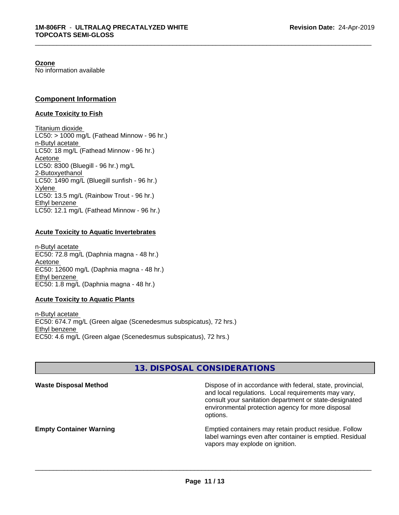#### **Ozone**

No information available

### **Component Information**

#### **Acute Toxicity to Fish**

Titanium dioxide  $LC50:$  > 1000 mg/L (Fathead Minnow - 96 hr.) n-Butyl acetate LC50: 18 mg/L (Fathead Minnow - 96 hr.) Acetone LC50: 8300 (Bluegill - 96 hr.) mg/L 2-Butoxyethanol LC50: 1490 mg/L (Bluegill sunfish - 96 hr.) Xylene LC50: 13.5 mg/L (Rainbow Trout - 96 hr.) Ethyl benzene LC50: 12.1 mg/L (Fathead Minnow - 96 hr.)

#### **Acute Toxicity to Aquatic Invertebrates**

n-Butyl acetate EC50: 72.8 mg/L (Daphnia magna - 48 hr.) Acetone EC50: 12600 mg/L (Daphnia magna - 48 hr.) Ethyl benzene EC50: 1.8 mg/L (Daphnia magna - 48 hr.)

#### **Acute Toxicity to Aquatic Plants**

n-Butyl acetate EC50: 674.7 mg/L (Green algae (Scenedesmus subspicatus), 72 hrs.) Ethyl benzene EC50: 4.6 mg/L (Green algae (Scenedesmus subspicatus), 72 hrs.)

# **13. DISPOSAL CONSIDERATIONS**

| <b>Waste Disposal Method</b>   | Dispose of in accordance with federal, state, provincial,<br>and local regulations. Local requirements may vary,<br>consult your sanitation department or state-designated<br>environmental protection agency for more disposal<br>options. |
|--------------------------------|---------------------------------------------------------------------------------------------------------------------------------------------------------------------------------------------------------------------------------------------|
| <b>Empty Container Warning</b> | Emptied containers may retain product residue. Follow<br>label warnings even after container is emptied. Residual<br>vapors may explode on ignition.                                                                                        |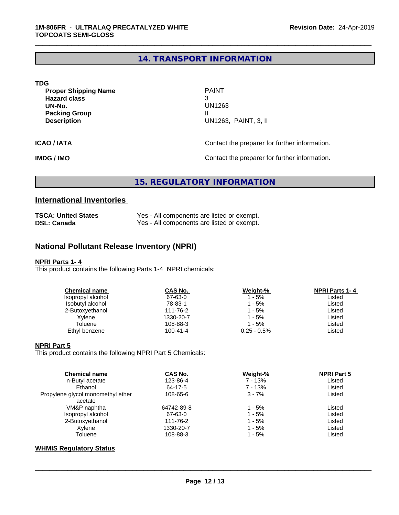# **14. TRANSPORT INFORMATION**

\_\_\_\_\_\_\_\_\_\_\_\_\_\_\_\_\_\_\_\_\_\_\_\_\_\_\_\_\_\_\_\_\_\_\_\_\_\_\_\_\_\_\_\_\_\_\_\_\_\_\_\_\_\_\_\_\_\_\_\_\_\_\_\_\_\_\_\_\_\_\_\_\_\_\_\_\_\_\_\_\_\_\_\_\_\_\_\_\_\_\_\_\_

| TDG                         |                                               |
|-----------------------------|-----------------------------------------------|
| <b>Proper Shipping Name</b> | <b>PAINT</b>                                  |
| <b>Hazard class</b>         | 3                                             |
| UN-No.                      | <b>UN1263</b>                                 |
| <b>Packing Group</b>        |                                               |
| <b>Description</b>          | UN1263, PAINT, 3, II                          |
|                             |                                               |
| <b>ICAO / IATA</b>          | Contact the preparer for further information. |
|                             |                                               |

**IMDG / IMO Contact the preparer for further information.** 

# **15. REGULATORY INFORMATION**

# **International Inventories**

| <b>TSCA: United States</b> | Yes - All components are listed or exempt. |
|----------------------------|--------------------------------------------|
| <b>DSL: Canada</b>         | Yes - All components are listed or exempt. |

# **National Pollutant Release Inventory (NPRI)**

#### **NPRI Parts 1- 4**

This product contains the following Parts 1-4 NPRI chemicals:

| <b>Chemical name</b> | CAS No.        | Weight-%       | <b>NPRI Parts 1-4</b> |
|----------------------|----------------|----------------|-----------------------|
| Isopropyl alcohol    | 67-63-0        | 1 - 5%         | Listed                |
| Isobutyl alcohol     | 78-83-1        | 1 - 5%         | Listed                |
| 2-Butoxyethanol      | 111-76-2       | 1 - 5%         | Listed                |
| Xylene               | 1330-20-7      | 1 - 5%         | Listed                |
| Toluene              | 108-88-3       | $1 - 5%$       | Listed                |
| Ethyl benzene        | $100 - 41 - 4$ | $0.25 - 0.5\%$ | Listed                |
|                      |                |                |                       |

#### **NPRI Part 5**

This product contains the following NPRI Part 5 Chemicals:

| <b>Chemical name</b>              | <b>CAS No.</b> | Weight-% | <b>NPRI Part 5</b> |  |
|-----------------------------------|----------------|----------|--------------------|--|
| n-Butyl acetate                   | 123-86-4       | 7 - 13%  | Listed             |  |
| Ethanol                           | 64-17-5        | 7 - 13%  | Listed             |  |
| Propylene glycol monomethyl ether | 108-65-6       | $3 - 7%$ | Listed             |  |
| acetate                           |                |          |                    |  |
| VM&P naphtha                      | 64742-89-8     | 1 - 5%   | Listed             |  |
| Isopropyl alcohol                 | 67-63-0        | $1 - 5%$ | Listed             |  |
| 2-Butoxyethanol                   | 111-76-2       | $1 - 5%$ | Listed             |  |
| Xvlene                            | 1330-20-7      | $1 - 5%$ | Listed             |  |
| Toluene                           | 108-88-3       | 1 - 5%   | Listed             |  |
|                                   |                |          |                    |  |

## **WHMIS Regulatory Status**